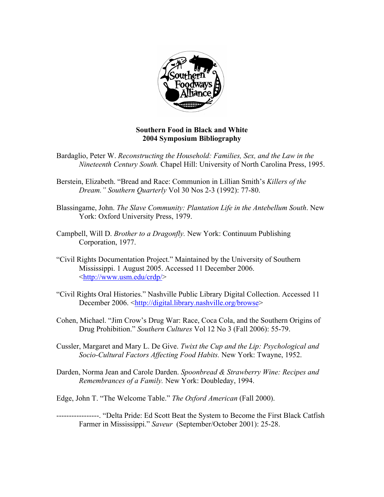

## **Southern Food in Black and White 2004 Symposium Bibliography**

- Bardaglio, Peter W. *Reconstructing the Household: Families, Sex, and the Law in the Nineteenth Century South.* Chapel Hill: University of North Carolina Press, 1995.
- Berstein, Elizabeth. "Bread and Race: Communion in Lillian Smith's *Killers of the Dream." Southern Quarterly* Vol 30 Nos 2-3 (1992): 77-80.
- Blassingame, John. *The Slave Community: Plantation Life in the Antebellum South*. New York: Oxford University Press, 1979.
- Campbell, Will D. *Brother to a Dragonfly.* New York: Continuum Publishing Corporation, 1977.
- "Civil Rights Documentation Project." Maintained by the University of Southern Mississippi. 1 August 2005. Accessed 11 December 2006. <http://www.usm.edu/crdp/>
- "Civil Rights Oral Histories." Nashville Public Library Digital Collection. Accessed 11 December 2006. <http://digital.library.nashville.org/browse>
- Cohen, Michael. "Jim Crow's Drug War: Race, Coca Cola, and the Southern Origins of Drug Prohibition." *Southern Cultures* Vol 12 No 3 (Fall 2006): 55-79.
- Cussler, Margaret and Mary L. De Give. *Twixt the Cup and the Lip: Psychological and Socio-Cultural Factors Affecting Food Habits.* New York: Twayne, 1952.
- Darden, Norma Jean and Carole Darden. *Spoonbread & Strawberry Wine: Recipes and Remembrances of a Family.* New York: Doubleday, 1994.
- Edge, John T. "The Welcome Table." *The Oxford American* (Fall 2000).
- -----------------. "Delta Pride: Ed Scott Beat the System to Become the First Black Catfish Farmer in Mississippi." *Saveur* (September/October 2001): 25-28.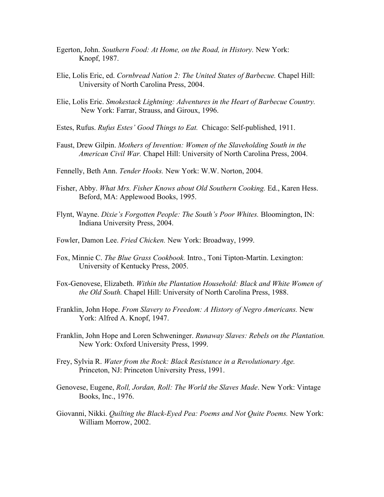- Egerton, John. *Southern Food: At Home, on the Road, in History.* New York: Knopf, 1987.
- Elie, Lolis Eric, ed. *Cornbread Nation 2: The United States of Barbecue.* Chapel Hill: University of North Carolina Press, 2004.
- Elie, Lolis Eric. *Smokestack Lightning: Adventures in the Heart of Barbecue Country.*  New York: Farrar, Strauss, and Giroux, 1996.
- Estes, Rufus. *Rufus Estes' Good Things to Eat.* Chicago: Self-published, 1911.
- Faust, Drew Gilpin. *Mothers of Invention: Women of the Slaveholding South in the American Civil War.* Chapel Hill: University of North Carolina Press, 2004.
- Fennelly, Beth Ann. *Tender Hooks.* New York: W.W. Norton, 2004.
- Fisher, Abby. *What Mrs. Fisher Knows about Old Southern Cooking.* Ed., Karen Hess. Beford, MA: Applewood Books, 1995.
- Flynt, Wayne. *Dixie's Forgotten People: The South's Poor Whites.* Bloomington, IN: Indiana University Press, 2004.
- Fowler, Damon Lee. *Fried Chicken.* New York: Broadway, 1999.
- Fox, Minnie C. *The Blue Grass Cookbook.* Intro., Toni Tipton-Martin. Lexington: University of Kentucky Press, 2005.
- Fox-Genovese, Elizabeth. *Within the Plantation Household: Black and White Women of the Old South.* Chapel Hill: University of North Carolina Press, 1988.
- Franklin, John Hope. *From Slavery to Freedom: A History of Negro Americans.* New York: Alfred A. Knopf, 1947.
- Franklin, John Hope and Loren Schweninger. *Runaway Slaves: Rebels on the Plantation.*  New York: Oxford University Press, 1999.
- Frey, Sylvia R. *Water from the Rock: Black Resistance in a Revolutionary Age.*  Princeton, NJ: Princeton University Press, 1991.
- Genovese, Eugene, *Roll, Jordan, Roll: The World the Slaves Made*. New York: Vintage Books, Inc., 1976.
- Giovanni, Nikki. *Quilting the Black-Eyed Pea: Poems and Not Quite Poems*. New York: William Morrow, 2002.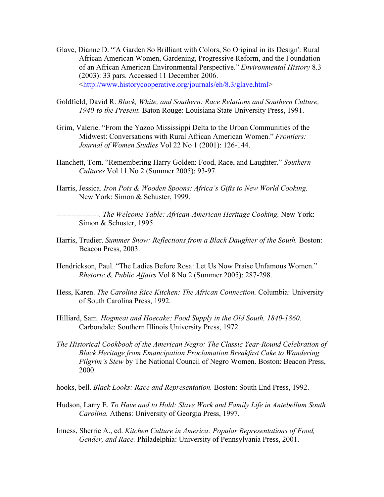- Glave, Dianne D. "'A Garden So Brilliant with Colors, So Original in its Design': Rural African American Women, Gardening, Progressive Reform, and the Foundation of an African American Environmental Perspective." *Environmental History* 8.3 (2003): 33 pars. Accessed 11 December 2006. <http://www.historycooperative.org/journals/eh/8.3/glave.html>
- Goldfield, David R. *Black, White, and Southern: Race Relations and Southern Culture, 1940-to the Present.* Baton Rouge: Louisiana State University Press, 1991.
- Grim, Valerie. "From the Yazoo Mississippi Delta to the Urban Communities of the Midwest: Conversations with Rural African American Women." *Frontiers: Journal of Women Studies* Vol 22 No 1 (2001): 126-144.
- Hanchett, Tom. "Remembering Harry Golden: Food, Race, and Laughter." *Southern Cultures* Vol 11 No 2 (Summer 2005): 93-97.
- Harris, Jessica. *Iron Pots & Wooden Spoons: Africa's Gifts to New World Cooking.*  New York: Simon & Schuster, 1999.
- -----------------. *The Welcome Table: African-American Heritage Cooking.* New York: Simon & Schuster, 1995.
- Harris, Trudier. Summer Snow: Reflections from a Black Daughter of the South. Boston: Beacon Press, 2003.
- Hendrickson, Paul. "The Ladies Before Rosa: Let Us Now Praise Unfamous Women." *Rhetoric & Public Affairs* Vol 8 No 2 (Summer 2005): 287-298.
- Hess, Karen. *The Carolina Rice Kitchen: The African Connection.* Columbia: University of South Carolina Press, 1992.
- Hilliard, Sam. *Hogmeat and Hoecake: Food Supply in the Old South, 1840-1860*. Carbondale: Southern Illinois University Press, 1972.
- *The Historical Cookbook of the American Negro: The Classic Year-Round Celebration of Black Heritage from Emancipation Proclamation Breakfast Cake to Wandering Pilgrim's Stew* by The National Council of Negro Women. Boston: Beacon Press, 2000
- hooks, bell. *Black Looks: Race and Representation.* Boston: South End Press, 1992.
- Hudson, Larry E. *To Have and to Hold: Slave Work and Family Life in Antebellum South Carolina.* Athens: University of Georgia Press, 1997.
- Inness, Sherrie A., ed. *Kitchen Culture in America: Popular Representations of Food, Gender, and Race.* Philadelphia: University of Pennsylvania Press, 2001.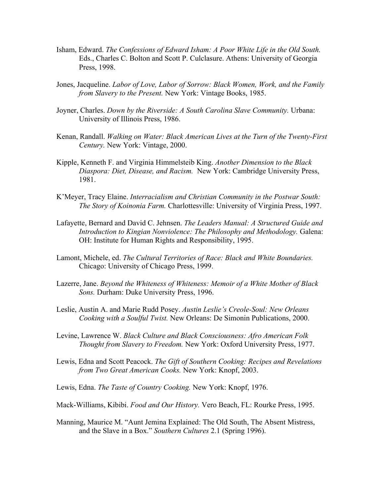- Isham, Edward. *The Confessions of Edward Isham: A Poor White Life in the Old South.*  Eds., Charles C. Bolton and Scott P. Culclasure. Athens: University of Georgia Press, 1998.
- Jones, Jacqueline. *Labor of Love, Labor of Sorrow: Black Women, Work, and the Family from Slavery to the Present.* New York: Vintage Books, 1985.
- Joyner, Charles. *Down by the Riverside: A South Carolina Slave Community.* Urbana: University of Illinois Press, 1986.
- Kenan, Randall. *Walking on Water: Black American Lives at the Turn of the Twenty-First Century.* New York: Vintage, 2000.
- Kipple, Kenneth F. and Virginia Himmelsteib King. *Another Dimension to the Black Diaspora: Diet, Disease, and Racism.* New York: Cambridge University Press, 1981.
- K'Meyer, Tracy Elaine. *Interracialism and Christian Community in the Postwar South: The Story of Koinonia Farm.* Charlottesville: University of Virginia Press, 1997.
- Lafayette, Bernard and David C. Jehnsen. *The Leaders Manual: A Structured Guide and Introduction to Kingian Nonviolence: The Philosophy and Methodology.* Galena: OH: Institute for Human Rights and Responsibility, 1995.
- Lamont, Michele, ed. *The Cultural Territories of Race: Black and White Boundaries.*  Chicago: University of Chicago Press, 1999.
- Lazerre, Jane. *Beyond the Whiteness of Whiteness: Memoir of a White Mother of Black Sons.* Durham: Duke University Press, 1996.
- Leslie, Austin A. and Marie Rudd Posey. *Austin Leslie's Creole-Soul: New Orleans Cooking with a Soulful Twist.* New Orleans: De Simonin Publications, 2000.
- Levine, Lawrence W. *Black Culture and Black Consciousness: Afro American Folk Thought from Slavery to Freedom.* New York: Oxford University Press, 1977.
- Lewis, Edna and Scott Peacock. *The Gift of Southern Cooking: Recipes and Revelations from Two Great American Cooks.* New York: Knopf, 2003.
- Lewis, Edna. *The Taste of Country Cooking.* New York: Knopf, 1976.
- Mack-Williams, Kibibi. *Food and Our History.* Vero Beach, FL: Rourke Press, 1995.
- Manning, Maurice M. "Aunt Jemina Explained: The Old South, The Absent Mistress, and the Slave in a Box." *Southern Cultures* 2.1 (Spring 1996).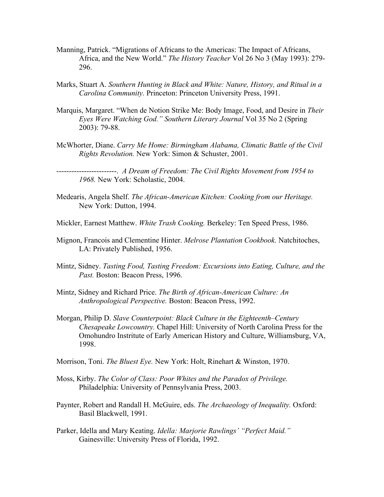- Manning, Patrick. "Migrations of Africans to the Americas: The Impact of Africans, Africa, and the New World." *The History Teacher* Vol 26 No 3 (May 1993): 279- 296.
- Marks, Stuart A. *Southern Hunting in Black and White: Nature, History, and Ritual in a Carolina Community.* Princeton: Princeton University Press, 1991.
- Marquis, Margaret. "When de Notion Strike Me: Body Image, Food, and Desire in *Their Eyes Were Watching God." Southern Literary Journal* Vol 35 No 2 (Spring 2003): 79-88.
- McWhorter, Diane. *Carry Me Home: Birmingham Alabama, Climatic Battle of the Civil Rights Revolution.* New York: Simon & Schuster, 2001.

------------------------. *A Dream of Freedom: The Civil Rights Movement from 1954 to 1968.* New York: Scholastic, 2004.

- Medearis, Angela Shelf. *The African-American Kitchen: Cooking from our Heritage.*  New York: Dutton, 1994.
- Mickler, Earnest Matthew. *White Trash Cooking.* Berkeley: Ten Speed Press, 1986.
- Mignon, Francois and Clementine Hinter. *Melrose Plantation Cookbook.* Natchitoches, LA: Privately Published, 1956.
- Mintz, Sidney. *Tasting Food, Tasting Freedom: Excursions into Eating, Culture, and the*  Past. Boston: Beacon Press, 1996.
- Mintz, Sidney and Richard Price. *The Birth of African-American Culture: An Anthropological Perspective.* Boston: Beacon Press, 1992.
- Morgan, Philip D. *Slave Counterpoint: Black Culture in the Eighteenth–Century Chesapeake Lowcountry.* Chapel Hill: University of North Carolina Press for the Omohundro Instritute of Early American History and Culture, Williamsburg, VA, 1998.
- Morrison, Toni. *The Bluest Eye.* New York: Holt, Rinehart & Winston, 1970.
- Moss, Kirby. *The Color of Class: Poor Whites and the Paradox of Privilege.*  Philadelphia: University of Pennsylvania Press, 2003.
- Paynter, Robert and Randall H. McGuire, eds. *The Archaeology of Inequality.* Oxford: Basil Blackwell, 1991.
- Parker, Idella and Mary Keating. *Idella: Marjorie Rawlings' "Perfect Maid."* Gainesville: University Press of Florida, 1992.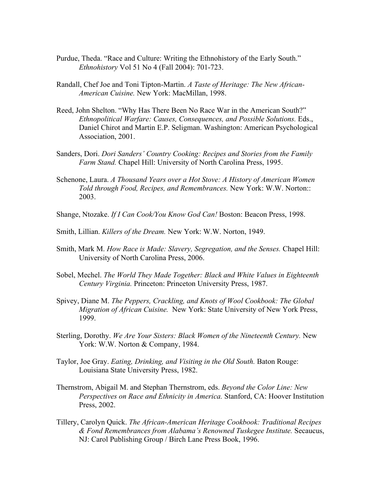- Purdue, Theda. "Race and Culture: Writing the Ethnohistory of the Early South." *Ethnohistory* Vol 51 No 4 (Fall 2004): 701-723.
- Randall, Chef Joe and Toni Tipton-Martin. *A Taste of Heritage: The New African-American Cuisine.* New York: MacMillan, 1998.
- Reed, John Shelton. "Why Has There Been No Race War in the American South?" *Ethnopolitical Warfare: Causes, Consequences, and Possible Solutions.* Eds., Daniel Chirot and Martin E.P. Seligman. Washington: American Psychological Association, 2001.
- Sanders, Dori. *Dori Sanders' Country Cooking: Recipes and Stories from the Family Farm Stand.* Chapel Hill: University of North Carolina Press, 1995.
- Schenone, Laura. *A Thousand Years over a Hot Stove: A History of American Women Told through Food, Recipes, and Remembrances.* New York: W.W. Norton:: 2003.
- Shange, Ntozake. *If I Can Cook/You Know God Can!* Boston: Beacon Press, 1998.
- Smith, Lillian. *Killers of the Dream.* New York: W.W. Norton, 1949.
- Smith, Mark M. *How Race is Made: Slavery, Segregation, and the Senses.* Chapel Hill: University of North Carolina Press, 2006.
- Sobel, Mechel. *The World They Made Together: Black and White Values in Eighteenth Century Virginia.* Princeton: Princeton University Press, 1987.
- Spivey, Diane M. *The Peppers, Crackling, and Knots of Wool Cookbook: The Global Migration of African Cuisine.* New York: State University of New York Press, 1999.
- Sterling, Dorothy. *We Are Your Sisters: Black Women of the Nineteenth Century.* New York: W.W. Norton & Company, 1984.
- Taylor, Joe Gray. *Eating, Drinking, and Visiting in the Old South.* Baton Rouge: Louisiana State University Press, 1982.
- Thernstrom, Abigail M. and Stephan Thernstrom, eds. *Beyond the Color Line: New Perspectives on Race and Ethnicity in America.* Stanford, CA: Hoover Institution Press, 2002.
- Tillery, Carolyn Quick. *The African-American Heritage Cookbook: Traditional Recipes & Fond Remembrances from Alabama's Renowned Tuskegee Institute.* Secaucus, NJ: Carol Publishing Group / Birch Lane Press Book, 1996.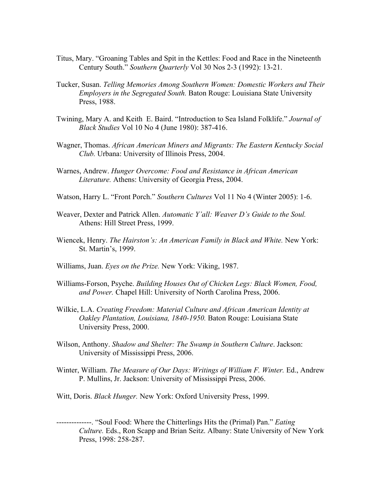- Titus, Mary. "Groaning Tables and Spit in the Kettles: Food and Race in the Nineteenth Century South." *Southern Quarterly* Vol 30 Nos 2-3 (1992): 13-21.
- Tucker, Susan. *Telling Memories Among Southern Women: Domestic Workers and Their Employers in the Segregated South.* Baton Rouge: Louisiana State University Press, 1988.
- Twining, Mary A. and Keith E. Baird. "Introduction to Sea Island Folklife." *Journal of Black Studies* Vol 10 No 4 (June 1980): 387-416.
- Wagner, Thomas. *African American Miners and Migrants: The Eastern Kentucky Social Club.* Urbana: University of Illinois Press, 2004.
- Warnes, Andrew. *Hunger Overcome: Food and Resistance in African American Literature.* Athens: University of Georgia Press, 2004.
- Watson, Harry L. "Front Porch." *Southern Cultures* Vol 11 No 4 (Winter 2005): 1-6.
- Weaver, Dexter and Patrick Allen. *Automatic Y'all: Weaver D's Guide to the Soul.*  Athens: Hill Street Press, 1999.
- Wiencek, Henry. *The Hairston's: An American Family in Black and White.* New York: St. Martin's, 1999.
- Williams, Juan. *Eyes on the Prize.* New York: Viking, 1987.
- Williams-Forson, Psyche. *Building Houses Out of Chicken Legs: Black Women, Food, and Power.* Chapel Hill: University of North Carolina Press, 2006.
- Wilkie, L.A. *Creating Freedom: Material Culture and African American Identity at Oakley Plantation, Louisiana, 1840-1950.* Baton Rouge: Louisiana State University Press, 2000.
- Wilson, Anthony. *Shadow and Shelter: The Swamp in Southern Culture*. Jackson: University of Mississippi Press, 2006.
- Winter, William. *The Measure of Our Days: Writings of William F. Winter. Ed., Andrew* P. Mullins, Jr. Jackson: University of Mississippi Press, 2006.
- Witt, Doris. *Black Hunger.* New York: Oxford University Press, 1999.
- --------------. "Soul Food: Where the Chitterlings Hits the (Primal) Pan." *Eating Culture.* Eds., Ron Scapp and Brian Seitz. Albany: State University of New York Press, 1998: 258-287.